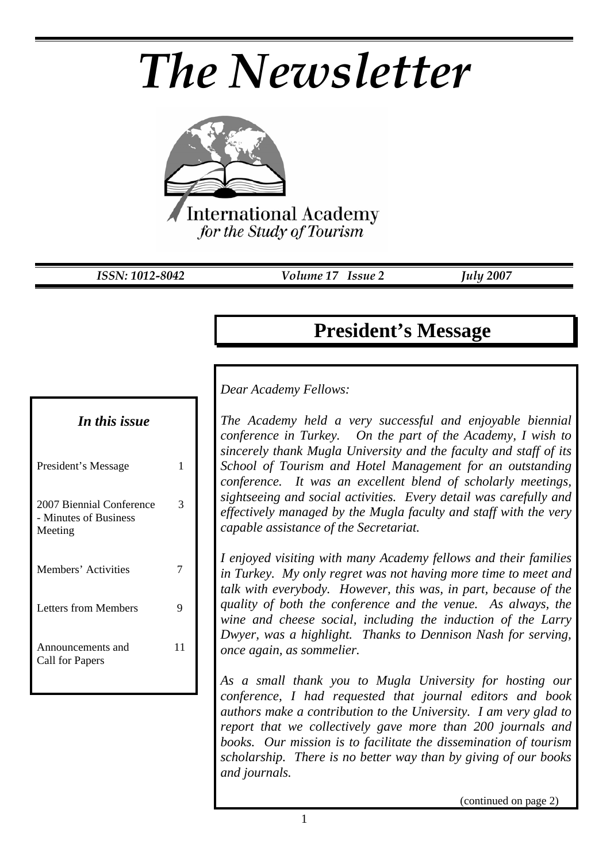# *The Newsletter*



*ISSN: 1012-8042 Volume 17 Issue 2 July 2007* 

## **President's Message**

*Dear Academy Fellows:* 

*The Academy held a very successful and enjoyable biennial conference in Turkey. On the part of the Academy, I wish to sincerely thank Mugla University and the faculty and staff of its School of Tourism and Hotel Management for an outstanding conference. It was an excellent blend of scholarly meetings, sightseeing and social activities. Every detail was carefully and effectively managed by the Mugla faculty and staff with the very capable assistance of the Secretariat.* 

*I enjoyed visiting with many Academy fellows and their families in Turkey. My only regret was not having more time to meet and talk with everybody. However, this was, in part, because of the quality of both the conference and the venue. As always, the wine and cheese social, including the induction of the Larry Dwyer, was a highlight. Thanks to Dennison Nash for serving, once again, as sommelier.* 

*As a small thank you to Mugla University for hosting our conference, I had requested that journal editors and book authors make a contribution to the University. I am very glad to report that we collectively gave more than 200 journals and books. Our mission is to facilitate the dissemination of tourism scholarship. There is no better way than by giving of our books and journals.* 

(continued on page 2)

## *In this issue*

| President's Message                                          | 1  |
|--------------------------------------------------------------|----|
| 2007 Biennial Conference<br>- Minutes of Business<br>Meeting | 3  |
| Members' Activities                                          |    |
| Letters from Members                                         | 9  |
| Announcements and<br>Call for Papers                         | 11 |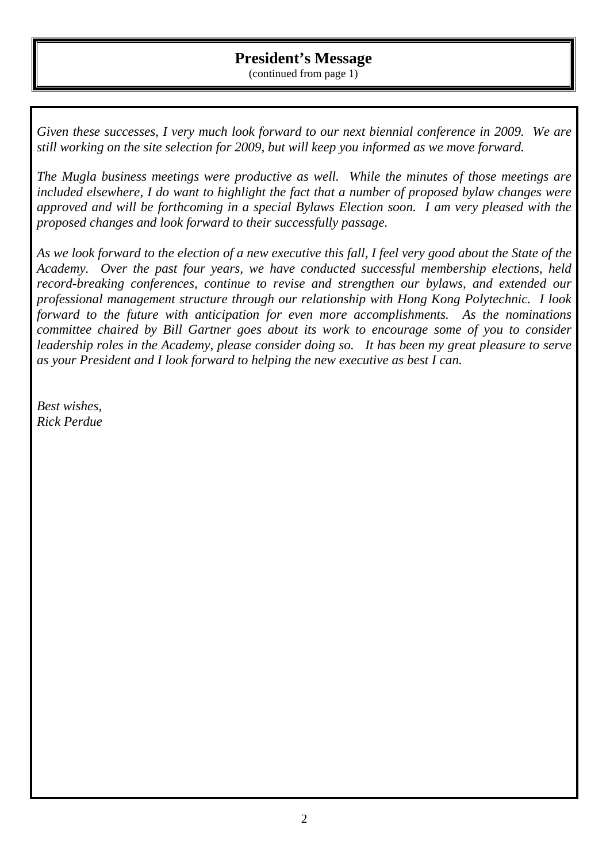#### **President's Message**

(continued from page 1)

*Given these successes, I very much look forward to our next biennial conference in 2009. We are still working on the site selection for 2009, but will keep you informed as we move forward.* 

*The Mugla business meetings were productive as well. While the minutes of those meetings are included elsewhere, I do want to highlight the fact that a number of proposed bylaw changes were approved and will be forthcoming in a special Bylaws Election soon. I am very pleased with the proposed changes and look forward to their successfully passage.* 

*As we look forward to the election of a new executive this fall, I feel very good about the State of the Academy. Over the past four years, we have conducted successful membership elections, held record-breaking conferences, continue to revise and strengthen our bylaws, and extended our professional management structure through our relationship with Hong Kong Polytechnic. I look forward to the future with anticipation for even more accomplishments. As the nominations committee chaired by Bill Gartner goes about its work to encourage some of you to consider leadership roles in the Academy, please consider doing so. It has been my great pleasure to serve as your President and I look forward to helping the new executive as best I can.* 

*Best wishes, Rick Perdue*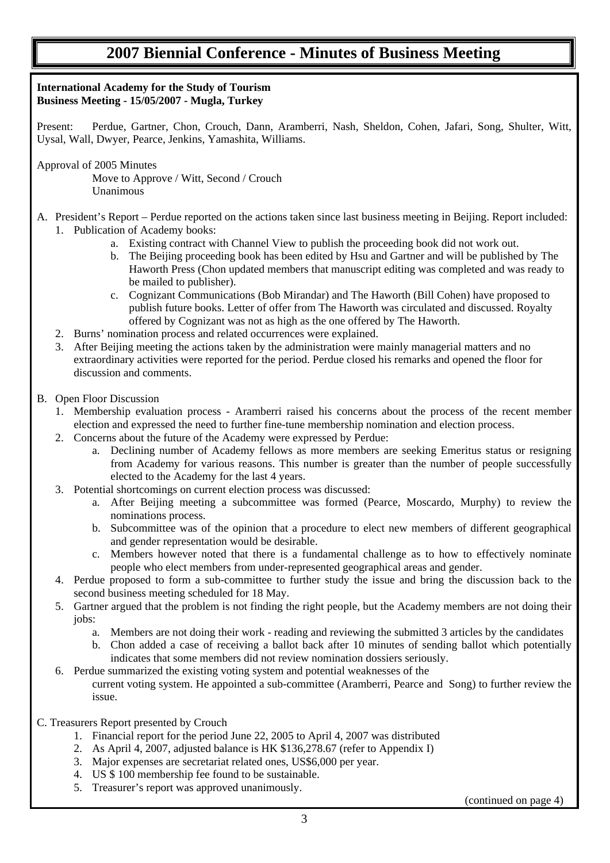#### **International Academy for the Study of Tourism Business Meeting - 15/05/2007 - Mugla, Turkey**

Present: Perdue, Gartner, Chon, Crouch, Dann, Aramberri, Nash, Sheldon, Cohen, Jafari, Song, Shulter, Witt, Uysal, Wall, Dwyer, Pearce, Jenkins, Yamashita, Williams.

Approval of 2005 Minutes

 Move to Approve / Witt, Second / Crouch Unanimous

- A. President's Report Perdue reported on the actions taken since last business meeting in Beijing. Report included: 1. Publication of Academy books:
	- a. Existing contract with Channel View to publish the proceeding book did not work out.
	- b. The Beijing proceeding book has been edited by Hsu and Gartner and will be published by The Haworth Press (Chon updated members that manuscript editing was completed and was ready to be mailed to publisher).
	- c. Cognizant Communications (Bob Mirandar) and The Haworth (Bill Cohen) have proposed to publish future books. Letter of offer from The Haworth was circulated and discussed. Royalty offered by Cognizant was not as high as the one offered by The Haworth.
	- 2. Burns' nomination process and related occurrences were explained.
	- 3. After Beijing meeting the actions taken by the administration were mainly managerial matters and no extraordinary activities were reported for the period. Perdue closed his remarks and opened the floor for discussion and comments.

#### B. Open Floor Discussion

- 1. Membership evaluation process Aramberri raised his concerns about the process of the recent member election and expressed the need to further fine-tune membership nomination and election process.
- 2. Concerns about the future of the Academy were expressed by Perdue:
	- a. Declining number of Academy fellows as more members are seeking Emeritus status or resigning from Academy for various reasons. This number is greater than the number of people successfully elected to the Academy for the last 4 years.
- 3. Potential shortcomings on current election process was discussed:
	- a. After Beijing meeting a subcommittee was formed (Pearce, Moscardo, Murphy) to review the nominations process.
	- b. Subcommittee was of the opinion that a procedure to elect new members of different geographical and gender representation would be desirable.
	- c. Members however noted that there is a fundamental challenge as to how to effectively nominate people who elect members from under-represented geographical areas and gender.
- 4. Perdue proposed to form a sub-committee to further study the issue and bring the discussion back to the second business meeting scheduled for 18 May.
- 5. Gartner argued that the problem is not finding the right people, but the Academy members are not doing their jobs:
	- a. Members are not doing their work reading and reviewing the submitted 3 articles by the candidates
	- b. Chon added a case of receiving a ballot back after 10 minutes of sending ballot which potentially indicates that some members did not review nomination dossiers seriously.
- 6. Perdue summarized the existing voting system and potential weaknesses of the current voting system. He appointed a sub-committee (Aramberri, Pearce and Song) to further review the issue.
- C. Treasurers Report presented by Crouch
	- 1. Financial report for the period June 22, 2005 to April 4, 2007 was distributed
	- 2. As April 4, 2007, adjusted balance is HK \$136,278.67 (refer to Appendix I)
	- 3. Major expenses are secretariat related ones, US\$6,000 per year.
	- 4. US \$ 100 membership fee found to be sustainable.
	- 5. Treasurer's report was approved unanimously.

(continued on page 4)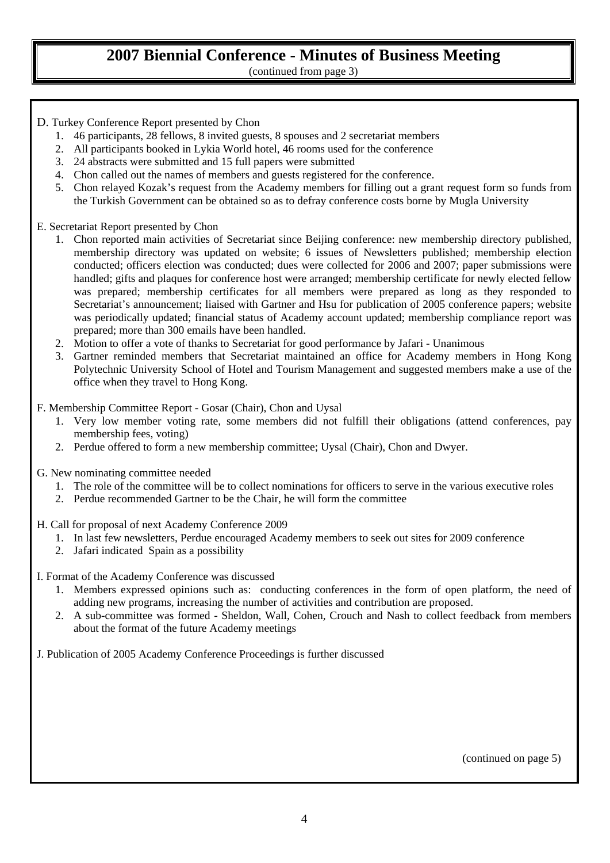(continued from page 3)

D. Turkey Conference Report presented by Chon

- 1. 46 participants, 28 fellows, 8 invited guests, 8 spouses and 2 secretariat members
- 2. All participants booked in Lykia World hotel, 46 rooms used for the conference
- 3. 24 abstracts were submitted and 15 full papers were submitted
- 4. Chon called out the names of members and guests registered for the conference.
- 5. Chon relayed Kozak's request from the Academy members for filling out a grant request form so funds from the Turkish Government can be obtained so as to defray conference costs borne by Mugla University

E. Secretariat Report presented by Chon

- 1. Chon reported main activities of Secretariat since Beijing conference: new membership directory published, membership directory was updated on website; 6 issues of Newsletters published; membership election conducted; officers election was conducted; dues were collected for 2006 and 2007; paper submissions were handled; gifts and plaques for conference host were arranged; membership certificate for newly elected fellow was prepared; membership certificates for all members were prepared as long as they responded to Secretariat's announcement; liaised with Gartner and Hsu for publication of 2005 conference papers; website was periodically updated; financial status of Academy account updated; membership compliance report was prepared; more than 300 emails have been handled.
- 2. Motion to offer a vote of thanks to Secretariat for good performance by Jafari Unanimous
- 3. Gartner reminded members that Secretariat maintained an office for Academy members in Hong Kong Polytechnic University School of Hotel and Tourism Management and suggested members make a use of the office when they travel to Hong Kong.

F. Membership Committee Report - Gosar (Chair), Chon and Uysal

- 1. Very low member voting rate, some members did not fulfill their obligations (attend conferences, pay membership fees, voting)
- 2. Perdue offered to form a new membership committee; Uysal (Chair), Chon and Dwyer.
- G. New nominating committee needed
	- 1. The role of the committee will be to collect nominations for officers to serve in the various executive roles
	- 2. Perdue recommended Gartner to be the Chair, he will form the committee
- H. Call for proposal of next Academy Conference 2009
	- 1. In last few newsletters, Perdue encouraged Academy members to seek out sites for 2009 conference
	- 2. Jafari indicated Spain as a possibility
- I. Format of the Academy Conference was discussed
	- 1. Members expressed opinions such as: conducting conferences in the form of open platform, the need of adding new programs, increasing the number of activities and contribution are proposed.
	- 2. A sub-committee was formed Sheldon, Wall, Cohen, Crouch and Nash to collect feedback from members about the format of the future Academy meetings

J. Publication of 2005 Academy Conference Proceedings is further discussed

(continued on page 5)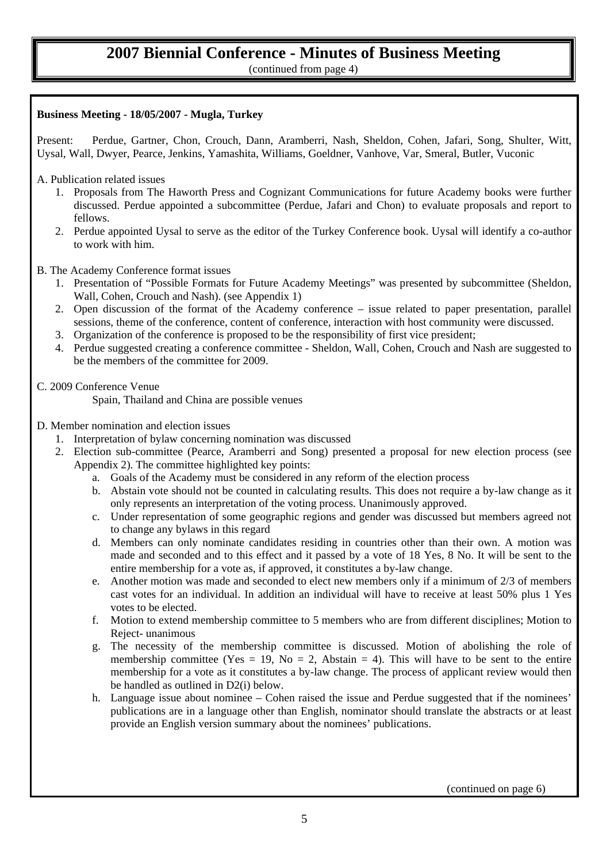(continued from page 4)

#### **Business Meeting - 18/05/2007 - Mugla, Turkey**

Present: Perdue, Gartner, Chon, Crouch, Dann, Aramberri, Nash, Sheldon, Cohen, Jafari, Song, Shulter, Witt, Uysal, Wall, Dwyer, Pearce, Jenkins, Yamashita, Williams, Goeldner, Vanhove, Var, Smeral, Butler, Vuconic

- A. Publication related issues
	- 1. Proposals from The Haworth Press and Cognizant Communications for future Academy books were further discussed. Perdue appointed a subcommittee (Perdue, Jafari and Chon) to evaluate proposals and report to fellows.
	- 2. Perdue appointed Uysal to serve as the editor of the Turkey Conference book. Uysal will identify a co-author to work with him.
- B. The Academy Conference format issues
	- 1. Presentation of "Possible Formats for Future Academy Meetings" was presented by subcommittee (Sheldon, Wall, Cohen, Crouch and Nash). (see Appendix 1)
	- 2. Open discussion of the format of the Academy conference issue related to paper presentation, parallel sessions, theme of the conference, content of conference, interaction with host community were discussed.
	- 3. Organization of the conference is proposed to be the responsibility of first vice president;
	- 4. Perdue suggested creating a conference committee Sheldon, Wall, Cohen, Crouch and Nash are suggested to be the members of the committee for 2009.
- C. 2009 Conference Venue

Spain, Thailand and China are possible venues

- D. Member nomination and election issues
	- 1. Interpretation of bylaw concerning nomination was discussed
	- 2. Election sub-committee (Pearce, Aramberri and Song) presented a proposal for new election process (see Appendix 2). The committee highlighted key points:
		- a. Goals of the Academy must be considered in any reform of the election process
		- b. Abstain vote should not be counted in calculating results. This does not require a by-law change as it only represents an interpretation of the voting process. Unanimously approved.
		- c. Under representation of some geographic regions and gender was discussed but members agreed not to change any bylaws in this regard
		- d. Members can only nominate candidates residing in countries other than their own. A motion was made and seconded and to this effect and it passed by a vote of 18 Yes, 8 No. It will be sent to the entire membership for a vote as, if approved, it constitutes a by-law change.
		- e. Another motion was made and seconded to elect new members only if a minimum of 2/3 of members cast votes for an individual. In addition an individual will have to receive at least 50% plus 1 Yes votes to be elected.
		- f. Motion to extend membership committee to 5 members who are from different disciplines; Motion to Reject- unanimous
		- g. The necessity of the membership committee is discussed. Motion of abolishing the role of membership committee (Yes = 19, No = 2, Abstain = 4). This will have to be sent to the entire membership for a vote as it constitutes a by-law change. The process of applicant review would then be handled as outlined in D2(i) below.
		- h. Language issue about nominee Cohen raised the issue and Perdue suggested that if the nominees' publications are in a language other than English, nominator should translate the abstracts or at least provide an English version summary about the nominees' publications.

(continued on page 6)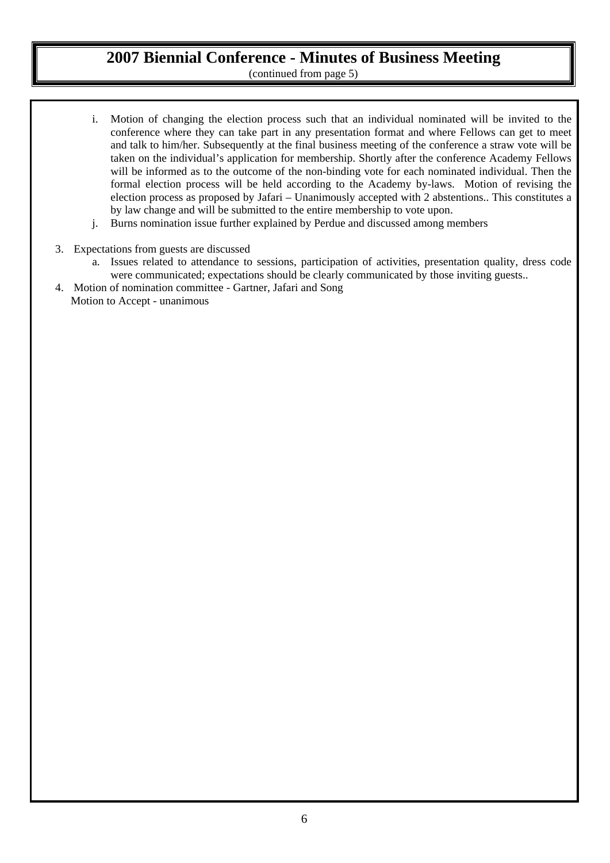(continued from page 5)

- i. Motion of changing the election process such that an individual nominated will be invited to the conference where they can take part in any presentation format and where Fellows can get to meet and talk to him/her. Subsequently at the final business meeting of the conference a straw vote will be taken on the individual's application for membership. Shortly after the conference Academy Fellows will be informed as to the outcome of the non-binding vote for each nominated individual. Then the formal election process will be held according to the Academy by-laws. Motion of revising the election process as proposed by Jafari – Unanimously accepted with 2 abstentions.. This constitutes a by law change and will be submitted to the entire membership to vote upon.
- j. Burns nomination issue further explained by Perdue and discussed among members
- 3. Expectations from guests are discussed
	- a. Issues related to attendance to sessions, participation of activities, presentation quality, dress code were communicated; expectations should be clearly communicated by those inviting guests..
- 4. Motion of nomination committee Gartner, Jafari and Song Motion to Accept - unanimous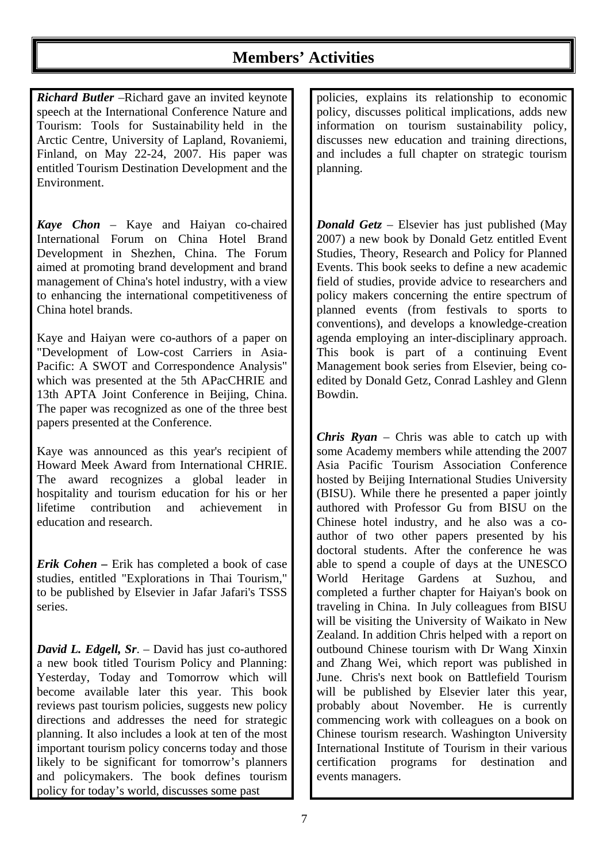## **Members' Activities**

*Richard Butler* –Richard gave an invited keynote speech at the International Conference Nature and Tourism: Tools for Sustainability held in the Arctic Centre, University of Lapland, Rovaniemi, Finland, on May 22-24, 2007. His paper was entitled Tourism Destination Development and the Environment.

*Kaye Chon* – Kaye and Haiyan co-chaired International Forum on China Hotel Brand Development in Shezhen, China. The Forum aimed at promoting brand development and brand management of China's hotel industry, with a view to enhancing the international competitiveness of China hotel brands.

Kaye and Haiyan were co-authors of a paper on "Development of Low-cost Carriers in Asia-Pacific: A SWOT and Correspondence Analysis" which was presented at the 5th APacCHRIE and 13th APTA Joint Conference in Beijing, China. The paper was recognized as one of the three best papers presented at the Conference.

Kaye was announced as this year's recipient of Howard Meek Award from International CHRIE. The award recognizes a global leader in hospitality and tourism education for his or her lifetime contribution and achievement in education and research.

*Erik Cohen –* Erik has completed a book of case studies, entitled "Explorations in Thai Tourism," to be published by Elsevier in Jafar Jafari's TSSS series.

*David L. Edgell, Sr*. – David has just co-authored a new book titled Tourism Policy and Planning: Yesterday, Today and Tomorrow which will become available later this year. This book reviews past tourism policies, suggests new policy directions and addresses the need for strategic planning. It also includes a look at ten of the most important tourism policy concerns today and those likely to be significant for tomorrow's planners and policymakers. The book defines tourism policy for today's world, discusses some past

policies, explains its relationship to economic policy, discusses political implications, adds new information on tourism sustainability policy, discusses new education and training directions, and includes a full chapter on strategic tourism planning.

*Donald Getz* – Elsevier has just published (May 2007) a new book by Donald Getz entitled Event Studies, Theory, Research and Policy for Planned Events. This book seeks to define a new academic field of studies, provide advice to researchers and policy makers concerning the entire spectrum of planned events (from festivals to sports to conventions), and develops a knowledge-creation agenda employing an inter-disciplinary approach. This book is part of a continuing Event Management book series from Elsevier, being coedited by Donald Getz, Conrad Lashley and Glenn Bowdin.

*Chris Ryan* – Chris was able to catch up with some Academy members while attending the 2007 Asia Pacific Tourism Association Conference hosted by Beijing International Studies University (BISU). While there he presented a paper jointly authored with Professor Gu from BISU on the Chinese hotel industry, and he also was a coauthor of two other papers presented by his doctoral students. After the conference he was able to spend a couple of days at the UNESCO World Heritage Gardens at Suzhou, and completed a further chapter for Haiyan's book on traveling in China. In July colleagues from BISU will be visiting the University of Waikato in New Zealand. In addition Chris helped with a report on outbound Chinese tourism with Dr Wang Xinxin and Zhang Wei, which report was published in June. Chris's next book on Battlefield Tourism will be published by Elsevier later this year, probably about November. He is currently commencing work with colleagues on a book on Chinese tourism research. Washington University International Institute of Tourism in their various certification programs for destination and events managers.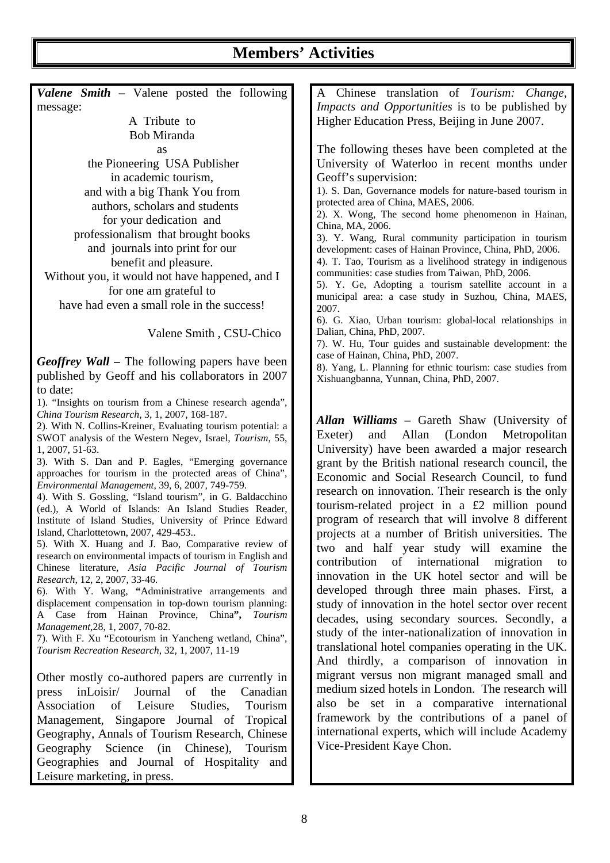## **Members' Activities**

*Valene Smith* – Valene posted the following message:

#### A Tribute to Bob Miranda as the Pioneering USA Publisher in academic tourism, and with a big Thank You from authors, scholars and students for your dedication and professionalism that brought books and journals into print for our benefit and pleasure. Without you, it would not have happened, and I for one am grateful to have had even a small role in the success!

Valene Smith , CSU-Chico

*Geoffrey Wall –* The following papers have been published by Geoff and his collaborators in 2007 to date:

1). "Insights on tourism from a Chinese research agenda", *China Tourism Research*, 3, 1, 2007, 168-187.

2). With N. Collins-Kreiner, Evaluating tourism potential: a SWOT analysis of the Western Negev, Israel, *Tourism*, 55, 1, 2007, 51-63.

3). With S. Dan and P. Eagles, "Emerging governance approaches for tourism in the protected areas of China", *Environmental Management*, 39, 6, 2007, 749-759.

4). With S. Gossling, "Island tourism", in G. Baldacchino (ed.), A World of Islands: An Island Studies Reader, Institute of Island Studies, University of Prince Edward Island, Charlottetown, 2007, 429-453..

5). With X. Huang and J. Bao, Comparative review of research on environmental impacts of tourism in English and Chinese literature, *Asia Pacific Journal of Tourism Research*, 12, 2, 2007, 33-46.

6). With Y. Wang, **"**Administrative arrangements and displacement compensation in top-down tourism planning: A Case from Hainan Province, China**",** *Tourism Management*,28, 1, 2007, 70-82.

7). With F. Xu "Ecotourism in Yancheng wetland, China", *Tourism Recreation Research*, 32, 1, 2007, 11-19

Other mostly co-authored papers are currently in press inLoisir/ Journal of the Canadian Association of Leisure Studies, Tourism Management, Singapore Journal of Tropical Geography, Annals of Tourism Research, Chinese Geography Science (in Chinese), Tourism Geographies and Journal of Hospitality and Leisure marketing, in press.

A Chinese translation of *Tourism: Change, Impacts and Opportunities* is to be published by Higher Education Press, Beijing in June 2007.

The following theses have been completed at the University of Waterloo in recent months under Geoff's supervision:

1). S. Dan, Governance models for nature-based tourism in protected area of China, MAES, 2006.

2). X. Wong, The second home phenomenon in Hainan, China, MA, 2006.

3). Y. Wang, Rural community participation in tourism development: cases of Hainan Province, China, PhD, 2006.

4). T. Tao, Tourism as a livelihood strategy in indigenous communities: case studies from Taiwan, PhD, 2006.

5). Y. Ge, Adopting a tourism satellite account in a municipal area: a case study in Suzhou, China, MAES, 2007.

6). G. Xiao, Urban tourism: global-local relationships in Dalian, China, PhD, 2007.

7). W. Hu, Tour guides and sustainable development: the case of Hainan, China, PhD, 2007.

8). Yang, L. Planning for ethnic tourism: case studies from Xishuangbanna, Yunnan, China, PhD, 2007.

*Allan Williams* – Gareth Shaw (University of Exeter) and Allan (London Metropolitan University) have been awarded a major research grant by the British national research council, the Economic and Social Research Council, to fund research on innovation. Their research is the only tourism-related project in a £2 million pound program of research that will involve 8 different projects at a number of British universities. The two and half year study will examine the contribution of international migration to innovation in the UK hotel sector and will be developed through three main phases. First, a study of innovation in the hotel sector over recent decades, using secondary sources. Secondly, a study of the inter-nationalization of innovation in translational hotel companies operating in the UK. And thirdly, a comparison of innovation in migrant versus non migrant managed small and medium sized hotels in London. The research will also be set in a comparative international framework by the contributions of a panel of international experts, which will include Academy Vice-President Kaye Chon.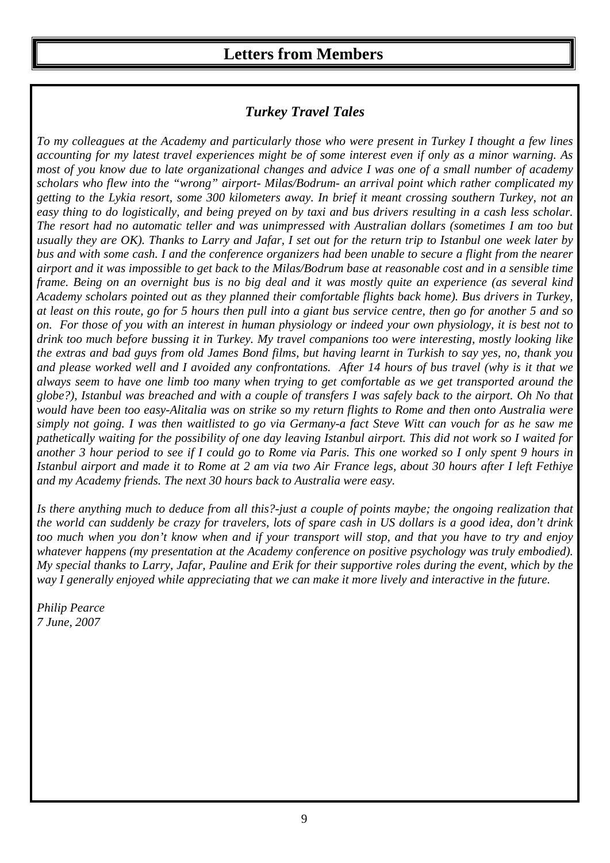## **Letters from Members**

## *Turkey Travel Tales*

*To my colleagues at the Academy and particularly those who were present in Turkey I thought a few lines accounting for my latest travel experiences might be of some interest even if only as a minor warning. As most of you know due to late organizational changes and advice I was one of a small number of academy scholars who flew into the "wrong" airport- Milas/Bodrum- an arrival point which rather complicated my getting to the Lykia resort, some 300 kilometers away. In brief it meant crossing southern Turkey, not an easy thing to do logistically, and being preyed on by taxi and bus drivers resulting in a cash less scholar. The resort had no automatic teller and was unimpressed with Australian dollars (sometimes I am too but usually they are OK). Thanks to Larry and Jafar, I set out for the return trip to Istanbul one week later by bus and with some cash. I and the conference organizers had been unable to secure a flight from the nearer airport and it was impossible to get back to the Milas/Bodrum base at reasonable cost and in a sensible time frame. Being on an overnight bus is no big deal and it was mostly quite an experience (as several kind Academy scholars pointed out as they planned their comfortable flights back home). Bus drivers in Turkey, at least on this route, go for 5 hours then pull into a giant bus service centre, then go for another 5 and so on. For those of you with an interest in human physiology or indeed your own physiology, it is best not to drink too much before bussing it in Turkey. My travel companions too were interesting, mostly looking like the extras and bad guys from old James Bond films, but having learnt in Turkish to say yes, no, thank you and please worked well and I avoided any confrontations. After 14 hours of bus travel (why is it that we always seem to have one limb too many when trying to get comfortable as we get transported around the globe?), Istanbul was breached and with a couple of transfers I was safely back to the airport. Oh No that would have been too easy-Alitalia was on strike so my return flights to Rome and then onto Australia were simply not going. I was then waitlisted to go via Germany-a fact Steve Witt can vouch for as he saw me pathetically waiting for the possibility of one day leaving Istanbul airport. This did not work so I waited for another 3 hour period to see if I could go to Rome via Paris. This one worked so I only spent 9 hours in Istanbul airport and made it to Rome at 2 am via two Air France legs, about 30 hours after I left Fethiye and my Academy friends. The next 30 hours back to Australia were easy.* 

*Is there anything much to deduce from all this?-just a couple of points maybe; the ongoing realization that the world can suddenly be crazy for travelers, lots of spare cash in US dollars is a good idea, don't drink too much when you don't know when and if your transport will stop, and that you have to try and enjoy whatever happens (my presentation at the Academy conference on positive psychology was truly embodied). My special thanks to Larry, Jafar, Pauline and Erik for their supportive roles during the event, which by the way I generally enjoyed while appreciating that we can make it more lively and interactive in the future.* 

*Philip Pearce 7 June, 2007*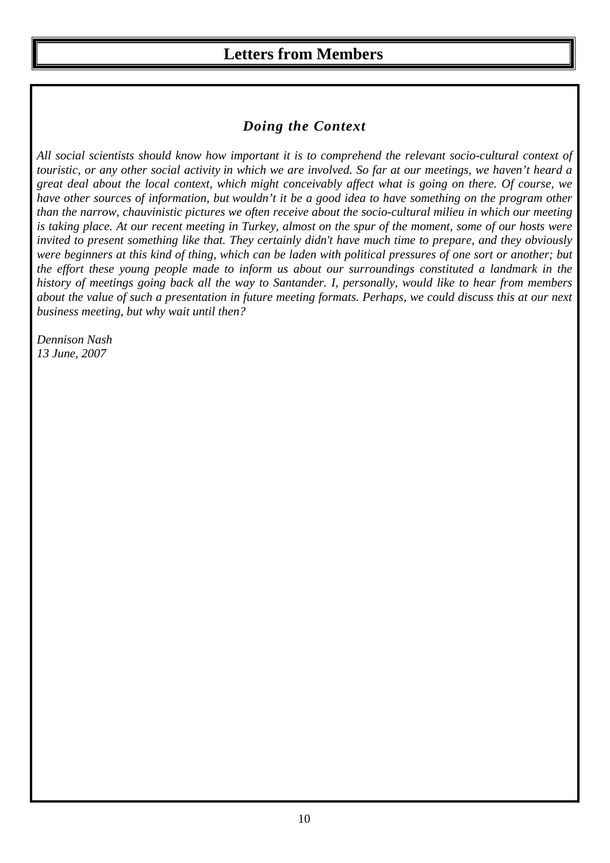## *Doing the Context*

*All social scientists should know how important it is to comprehend the relevant socio-cultural context of touristic, or any other social activity in which we are involved. So far at our meetings, we haven't heard a great deal about the local context, which might conceivably affect what is going on there. Of course, we have other sources of information, but wouldn't it be a good idea to have something on the program other than the narrow, chauvinistic pictures we often receive about the socio-cultural milieu in which our meeting is taking place. At our recent meeting in Turkey, almost on the spur of the moment, some of our hosts were invited to present something like that. They certainly didn't have much time to prepare, and they obviously were beginners at this kind of thing, which can be laden with political pressures of one sort or another; but the effort these young people made to inform us about our surroundings constituted a landmark in the history of meetings going back all the way to Santander. I, personally, would like to hear from members about the value of such a presentation in future meeting formats. Perhaps, we could discuss this at our next business meeting, but why wait until then?*

*Dennison Nash 13 June, 2007*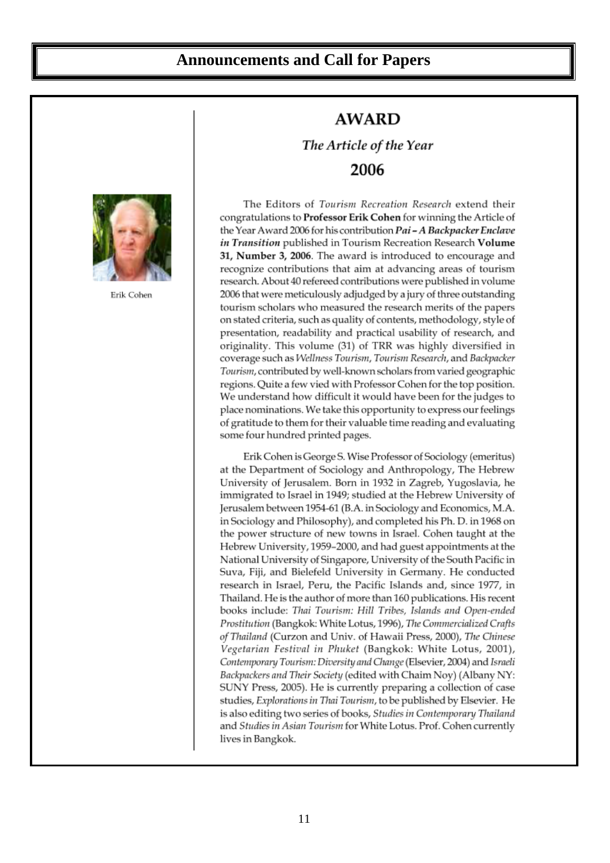#### **AWARD**

The Article of the Year 2006



Erik Cohen is George S. Wise Professor of Sociology (emeritus) at the Department of Sociology and Anthropology, The Hebrew University of Jerusalem. Born in 1932 in Zagreb, Yugoslavia, he immigrated to Israel in 1949; studied at the Hebrew University of Jerusalem between 1954-61 (B.A. in Sociology and Economics, M.A. in Sociology and Philosophy), and completed his Ph. D. in 1968 on the power structure of new towns in Israel. Cohen taught at the Hebrew University, 1959-2000, and had guest appointments at the National University of Singapore, University of the South Pacific in Suva, Fiji, and Bielefeld University in Germany. He conducted research in Israel, Peru, the Pacific Islands and, since 1977, in Thailand. He is the author of more than 160 publications. His recent books include: Thai Tourism: Hill Tribes, Islands and Open-ended Prostitution (Bangkok: White Lotus, 1996), The Commercialized Crafts of Thailand (Curzon and Univ. of Hawaii Press, 2000), The Chinese Vegetarian Festival in Phuket (Bangkok: White Lotus, 2001), Contemporary Tourism: Diversity and Change (Elsevier, 2004) and Israeli Backpackers and Their Society (edited with Chaim Noy) (Albany NY: SUNY Press, 2005). He is currently preparing a collection of case studies, Explorations in Thai Tourism, to be published by Elsevier. He is also editing two series of books, Studies in Contemporary Thailand and Studies in Asian Tourism for White Lotus. Prof. Cohen currently lives in Bangkok.



Erik Cohen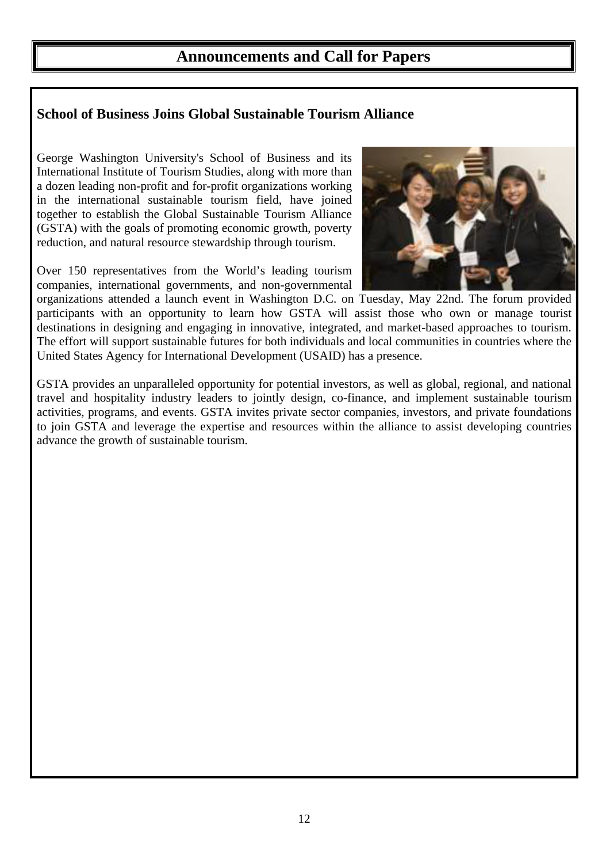#### **School of Business Joins Global Sustainable Tourism Alliance**

George Washington University's School of Business and its International Institute of Tourism Studies, along with more than a dozen leading non-profit and for-profit organizations working in the international sustainable tourism field, have joined together to establish the Global Sustainable Tourism Alliance (GSTA) with the goals of promoting economic growth, poverty reduction, and natural resource stewardship through tourism.

Over 150 representatives from the World's leading tourism companies, international governments, and non-governmental



organizations attended a launch event in Washington D.C. on Tuesday, May 22nd. The forum provided participants with an opportunity to learn how GSTA will assist those who own or manage tourist destinations in designing and engaging in innovative, integrated, and market-based approaches to tourism. The effort will support sustainable futures for both individuals and local communities in countries where the United States Agency for International Development (USAID) has a presence.

GSTA provides an unparalleled opportunity for potential investors, as well as global, regional, and national travel and hospitality industry leaders to jointly design, co-finance, and implement sustainable tourism activities, programs, and events. GSTA invites private sector companies, investors, and private foundations to join GSTA and leverage the expertise and resources within the alliance to assist developing countries advance the growth of sustainable tourism.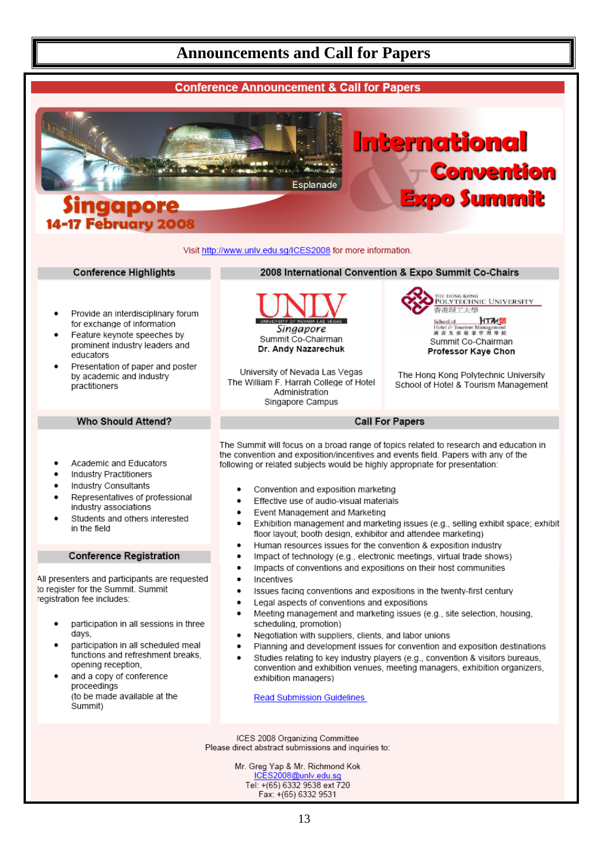

13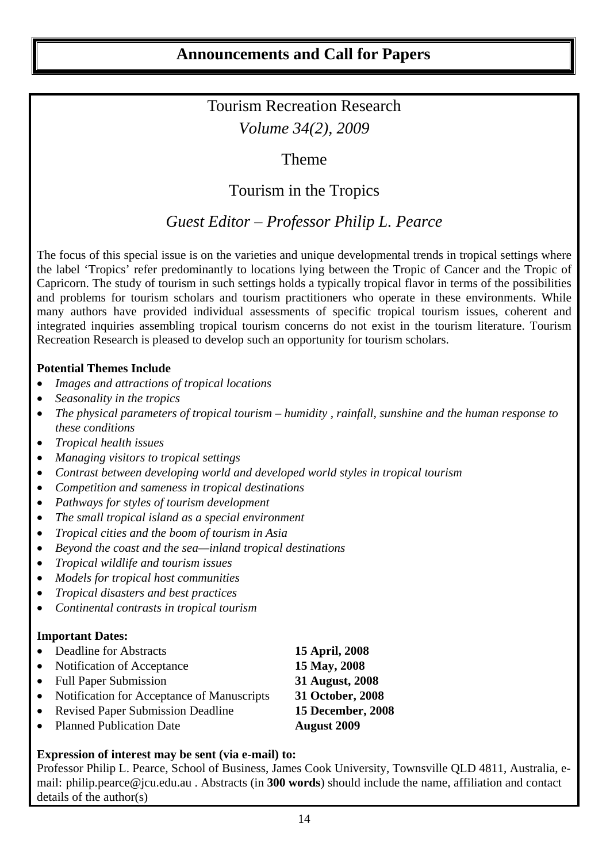## Tourism Recreation Research *Volume 34(2), 2009*

#### Theme

## Tourism in the Tropics

## *Guest Editor – Professor Philip L. Pearce*

The focus of this special issue is on the varieties and unique developmental trends in tropical settings where the label 'Tropics' refer predominantly to locations lying between the Tropic of Cancer and the Tropic of Capricorn. The study of tourism in such settings holds a typically tropical flavor in terms of the possibilities and problems for tourism scholars and tourism practitioners who operate in these environments. While many authors have provided individual assessments of specific tropical tourism issues, coherent and integrated inquiries assembling tropical tourism concerns do not exist in the tourism literature. Tourism Recreation Research is pleased to develop such an opportunity for tourism scholars.

#### **Potential Themes Include**

- *Images and attractions of tropical locations*
- *Seasonality in the tropics*
- *The physical parameters of tropical tourism humidity , rainfall, sunshine and the human response to these conditions*
- *Tropical health issues*
- *Managing visitors to tropical settings*
- *Contrast between developing world and developed world styles in tropical tourism*
- *Competition and sameness in tropical destinations*
- *Pathways for styles of tourism development*
- *The small tropical island as a special environment*
- *Tropical cities and the boom of tourism in Asia*
- *Beyond the coast and the sea—inland tropical destinations*
- *Tropical wildlife and tourism issues*
- *Models for tropical host communities*
- *Tropical disasters and best practices*
- *Continental contrasts in tropical tourism*

#### **Important Dates:**

- Deadline for Abstracts **15 April, 2008**
- Notification of Acceptance **15 May, 2008**
- Full Paper Submission **31 August, 2008**
- Notification for Acceptance of Manuscripts **31 October, 2008**
- Revised Paper Submission Deadline **15 December, 2008**
- Planned Publication Date **August 2009**

#### **Expression of interest may be sent (via e-mail) to:**

Professor Philip L. Pearce, School of Business, James Cook University, Townsville QLD 4811, Australia, email: philip.pearce@jcu.edu.au . Abstracts (in **300 words**) should include the name, affiliation and contact details of the author(s)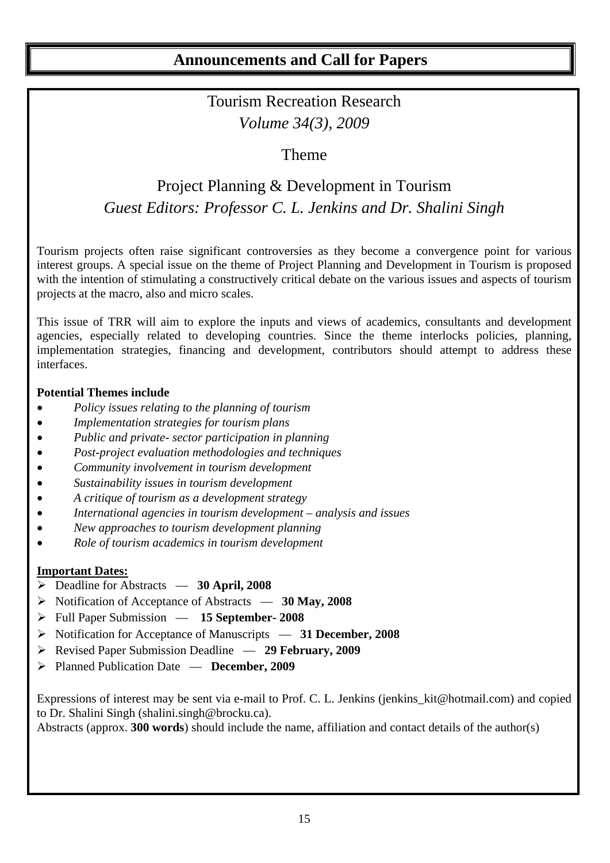Tourism Recreation Research *Volume 34(3), 2009* 

## Theme

## Project Planning & Development in Tourism *Guest Editors: Professor C. L. Jenkins and Dr. Shalini Singh*

Tourism projects often raise significant controversies as they become a convergence point for various interest groups. A special issue on the theme of Project Planning and Development in Tourism is proposed with the intention of stimulating a constructively critical debate on the various issues and aspects of tourism projects at the macro, also and micro scales.

This issue of TRR will aim to explore the inputs and views of academics, consultants and development agencies, especially related to developing countries. Since the theme interlocks policies, planning, implementation strategies, financing and development, contributors should attempt to address these interfaces.

#### **Potential Themes include**

- *Policy issues relating to the planning of tourism*
- *Implementation strategies for tourism plans*
- *Public and private- sector participation in planning*
- *Post-project evaluation methodologies and techniques*
- *Community involvement in tourism development*
- *Sustainability issues in tourism development*
- *A critique of tourism as a development strategy*
- *International agencies in tourism development analysis and issues*
- *New approaches to tourism development planning*
- *Role of tourism academics in tourism development*

#### **Important Dates:**

- ¾ Deadline for Abstracts **30 April, 2008**
- ¾ Notification of Acceptance of Abstracts **30 May, 2008**
- ¾ Full Paper Submission **15 September- 2008**
- ¾ Notification for Acceptance of Manuscripts **31 December, 2008**
- ¾ Revised Paper Submission Deadline **29 February, 2009**
- ¾ Planned Publication Date **December, 2009**

Expressions of interest may be sent via e-mail to Prof. C. L. Jenkins (jenkins\_kit@hotmail.com) and copied to Dr. Shalini Singh (shalini.singh@brocku.ca).

Abstracts (approx. **300 words**) should include the name, affiliation and contact details of the author(s)